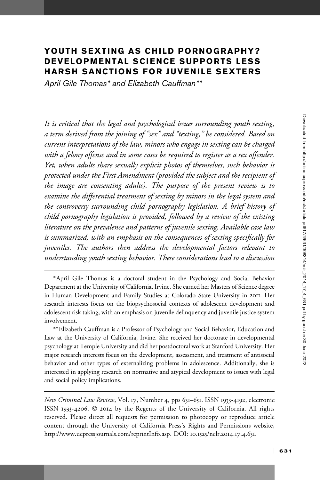# YOUTH SEXTING AS CHILD PORNOGRAPHY? DEVELOPMENTAL SCIENCE SUPPORTS LESS HARSH SANCTIONS FOR JUVENILE SEXTERS

April Gile Thomas\* and Elizabeth Cauffman\*\*

It is critical that the legal and psychological issues surrounding youth sexting, a term derived from the joining of ''sex'' and ''texting,'' be considered. Based on current interpretations of the law, minors who engage in sexting can be charged with a felony offense and in some cases be required to register as a sex offender. Yet, when adults share sexually explicit photos of themselves, such behavior is protected under the First Amendment (provided the subject and the recipient of the image are consenting adults). The purpose of the present review is to examine the differential treatment of sexting by minors in the legal system and the controversy surrounding child pornography legislation. A brief history of child pornography legislation is provided, followed by a review of the existing literature on the prevalence and patterns of juvenile sexting. Available case law is summarized, with an emphasis on the consequences of sexting specifically for juveniles. The authors then address the developmental factors relevant to understanding youth sexting behavior. These considerations lead to a discussion

\*\*Elizabeth Cauffman is a Professor of Psychology and Social Behavior, Education and Law at the University of California, Irvine. She received her doctorate in developmental psychology at Temple University and did her postdoctoral work at Stanford University. Her major research interests focus on the development, assessment, and treatment of antisocial behavior and other types of externalizing problems in adolescence. Additionally, she is interested in applying research on normative and atypical development to issues with legal and social policy implications.

New Criminal Law Review, Vol. 17, Number 4, pps 631–651. ISSN 1933-4192, electronic ISSN 1933-4206. © 2014 by the Regents of the University of California. All rights reserved. Please direct all requests for permission to photocopy or reproduce article content through the University of California Press's Rights and Permissions website, http://www.ucpressjournals.com/reprintInfo.asp. DOI: 10.1525/nclr.2014.17.4.631.

<sup>\*</sup>April Gile Thomas is a doctoral student in the Psychology and Social Behavior Department at the University of California, Irvine. She earned her Masters of Science degree in Human Development and Family Studies at Colorado State University in 2011. Her research interests focus on the biopsychosocial contexts of adolescent development and adolescent risk taking, with an emphasis on juvenile delinquency and juvenile justice system involvement.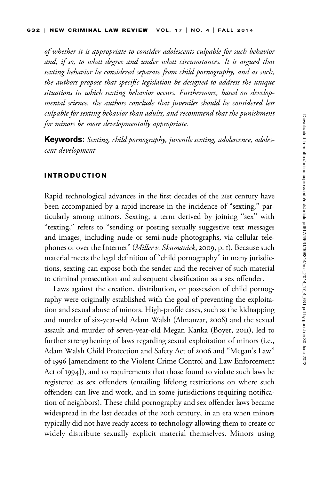of whether it is appropriate to consider adolescents culpable for such behavior and, if so, to what degree and under what circumstances. It is argued that sexting behavior be considered separate from child pornography, and as such, the authors propose that specific legislation be designed to address the unique situations in which sexting behavior occurs. Furthermore, based on developmental science, the authors conclude that juveniles should be considered less culpable for sexting behavior than adults, and recommend that the punishment for minors be more developmentally appropriate.

Keywords: Sexting, child pornography, juvenile sexting, adolescence, adolescent development

#### INTRODUCTION

Rapid technological advances in the first decades of the 21st century have been accompanied by a rapid increase in the incidence of ''sexting,'' particularly among minors. Sexting, a term derived by joining ''sex'' with ''texting,'' refers to ''sending or posting sexually suggestive text messages and images, including nude or semi-nude photographs, via cellular telephones or over the Internet" (Miller v. Skumanick, 2009, p. 1). Because such material meets the legal definition of ''child pornography'' in many jurisdictions, sexting can expose both the sender and the receiver of such material to criminal prosecution and subsequent classification as a sex offender.

Laws against the creation, distribution, or possession of child pornography were originally established with the goal of preventing the exploitation and sexual abuse of minors. High-profile cases, such as the kidnapping and murder of six-year-old Adam Walsh (Almanzar, 2008) and the sexual assault and murder of seven-year-old Megan Kanka (Boyer, 2011), led to further strengthening of laws regarding sexual exploitation of minors (i.e., Adam Walsh Child Protection and Safety Act of 2006 and ''Megan's Law'' of 1996 [amendment to the Violent Crime Control and Law Enforcement Act of 1994]), and to requirements that those found to violate such laws be registered as sex offenders (entailing lifelong restrictions on where such offenders can live and work, and in some jurisdictions requiring notification of neighbors). These child pornography and sex offender laws became widespread in the last decades of the 20th century, in an era when minors typically did not have ready access to technology allowing them to create or widely distribute sexually explicit material themselves. Minors using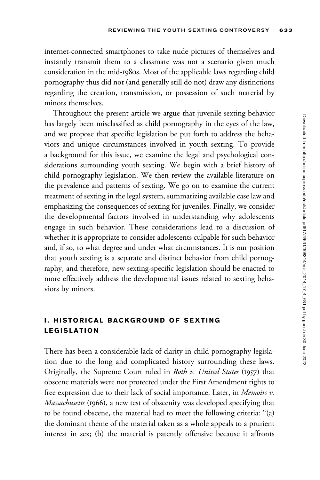internet-connected smartphones to take nude pictures of themselves and instantly transmit them to a classmate was not a scenario given much consideration in the mid-1980s. Most of the applicable laws regarding child pornography thus did not (and generally still do not) draw any distinctions regarding the creation, transmission, or possession of such material by minors themselves.

Throughout the present article we argue that juvenile sexting behavior has largely been misclassified as child pornography in the eyes of the law, and we propose that specific legislation be put forth to address the behaviors and unique circumstances involved in youth sexting. To provide a background for this issue, we examine the legal and psychological considerations surrounding youth sexting. We begin with a brief history of child pornography legislation. We then review the available literature on the prevalence and patterns of sexting. We go on to examine the current treatment of sexting in the legal system, summarizing available case law and emphasizing the consequences of sexting for juveniles. Finally, we consider the developmental factors involved in understanding why adolescents engage in such behavior. These considerations lead to a discussion of whether it is appropriate to consider adolescents culpable for such behavior and, if so, to what degree and under what circumstances. It is our position that youth sexting is a separate and distinct behavior from child pornography, and therefore, new sexting-specific legislation should be enacted to more effectively address the developmental issues related to sexting behaviors by minors.

# **I. HISTORICAL BACKGROUND OF SEXTING** LEGISLATION

There has been a considerable lack of clarity in child pornography legislation due to the long and complicated history surrounding these laws. Originally, the Supreme Court ruled in Roth v. United States (1957) that obscene materials were not protected under the First Amendment rights to free expression due to their lack of social importance. Later, in *Memoirs v*. *Massachusetts* (1966), a new test of obscenity was developed specifying that to be found obscene, the material had to meet the following criteria: ''(a) the dominant theme of the material taken as a whole appeals to a prurient interest in sex; (b) the material is patently offensive because it affronts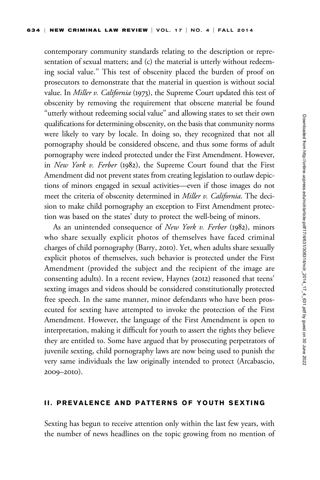contemporary community standards relating to the description or representation of sexual matters; and (c) the material is utterly without redeeming social value.'' This test of obscenity placed the burden of proof on prosecutors to demonstrate that the material in question is without social value. In *Miller v. California* (1973), the Supreme Court updated this test of obscenity by removing the requirement that obscene material be found ''utterly without redeeming social value'' and allowing states to set their own qualifications for determining obscenity, on the basis that community norms were likely to vary by locale. In doing so, they recognized that not all pornography should be considered obscene, and thus some forms of adult pornography were indeed protected under the First Amendment. However, in New York v. Ferber (1982), the Supreme Court found that the First Amendment did not prevent states from creating legislation to outlaw depictions of minors engaged in sexual activities—even if those images do not meet the criteria of obscenity determined in *Miller v. California*. The decision to make child pornography an exception to First Amendment protection was based on the states' duty to protect the well-being of minors.

As an unintended consequence of *New York v. Ferber* (1982), minors who share sexually explicit photos of themselves have faced criminal charges of child pornography (Barry, 2010). Yet, when adults share sexually explicit photos of themselves, such behavior is protected under the First Amendment (provided the subject and the recipient of the image are consenting adults). In a recent review, Haynes (2012) reasoned that teens' sexting images and videos should be considered constitutionally protected free speech. In the same manner, minor defendants who have been prosecuted for sexting have attempted to invoke the protection of the First Amendment. However, the language of the First Amendment is open to interpretation, making it difficult for youth to assert the rights they believe they are entitled to. Some have argued that by prosecuting perpetrators of juvenile sexting, child pornography laws are now being used to punish the very same individuals the law originally intended to protect (Arcabascio, 2009–2010).

### II. PREVALENCE AND PATTERNS OF YOUTH SEXTING

Sexting has begun to receive attention only within the last few years, with the number of news headlines on the topic growing from no mention of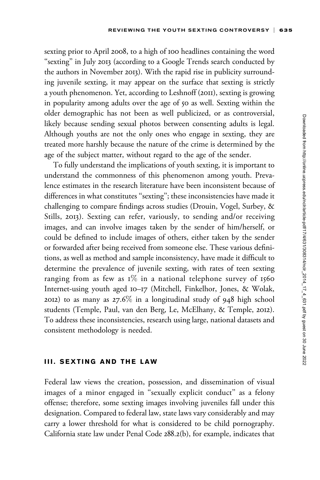sexting prior to April 2008, to a high of 100 headlines containing the word "sexting" in July 2013 (according to a Google Trends search conducted by the authors in November 2013). With the rapid rise in publicity surrounding juvenile sexting, it may appear on the surface that sexting is strictly a youth phenomenon. Yet, according to Leshnoff (2011), sexting is growing in popularity among adults over the age of 50 as well. Sexting within the older demographic has not been as well publicized, or as controversial, likely because sending sexual photos between consenting adults is legal. Although youths are not the only ones who engage in sexting, they are treated more harshly because the nature of the crime is determined by the age of the subject matter, without regard to the age of the sender.

To fully understand the implications of youth sexting, it is important to understand the commonness of this phenomenon among youth. Prevalence estimates in the research literature have been inconsistent because of differences in what constitutes ''sexting''; these inconsistencies have made it challenging to compare findings across studies (Drouin, Vogel, Surbey, & Stills, 2013). Sexting can refer, variously, to sending and/or receiving images, and can involve images taken by the sender of him/herself, or could be defined to include images of others, either taken by the sender or forwarded after being received from someone else. These various definitions, as well as method and sample inconsistency, have made it difficult to determine the prevalence of juvenile sexting, with rates of teen sexting ranging from as few as  $1\%$  in a national telephone survey of 1560 Internet-using youth aged 10–17 (Mitchell, Finkelhor, Jones, & Wolak, 2012) to as many as  $27.6\%$  in a longitudinal study of 948 high school students (Temple, Paul, van den Berg, Le, McElhany, & Temple, 2012). To address these inconsistencies, research using large, national datasets and consistent methodology is needed.

#### III. SEXTING AND THE LAW

Federal law views the creation, possession, and dissemination of visual images of a minor engaged in ''sexually explicit conduct'' as a felony offense; therefore, some sexting images involving juveniles fall under this designation. Compared to federal law, state laws vary considerably and may carry a lower threshold for what is considered to be child pornography. California state law under Penal Code 288.2(b), for example, indicates that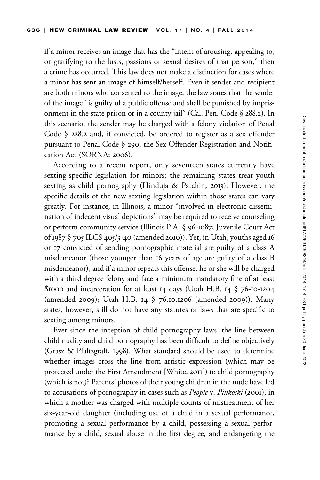if a minor receives an image that has the ''intent of arousing, appealing to, or gratifying to the lusts, passions or sexual desires of that person,'' then a crime has occurred. This law does not make a distinction for cases where a minor has sent an image of himself/herself. Even if sender and recipient are both minors who consented to the image, the law states that the sender of the image ''is guilty of a public offense and shall be punished by imprisonment in the state prison or in a county jail'' (Cal. Pen. Code § 288.2). In this scenario, the sender may be charged with a felony violation of Penal Code § 228.2 and, if convicted, be ordered to register as a sex offender pursuant to Penal Code § 290, the Sex Offender Registration and Notification Act (SORNA; 2006).

According to a recent report, only seventeen states currently have sexting-specific legislation for minors; the remaining states treat youth sexting as child pornography (Hinduja & Patchin, 2013). However, the specific details of the new sexting legislation within those states can vary greatly. For instance, in Illinois, a minor ''involved in electronic dissemination of indecent visual depictions'' may be required to receive counseling or perform community service (Illinois P.A. § 96-1087; Juvenile Court Act of 1987 § 705 ILCS 405/3-40 (amended 2010)). Yet, in Utah, youths aged 16 or 17 convicted of sending pornographic material are guilty of a class A misdemeanor (those younger than 16 years of age are guilty of a class B misdemeanor), and if a minor repeats this offense, he or she will be charged with a third degree felony and face a minimum mandatory fine of at least \$1000 and incarceration for at least 14 days (Utah H.B. 14 § 76-10-1204 (amended 2009); Utah H.B. 14 § 76.10.1206 (amended 2009)). Many states, however, still do not have any statutes or laws that are specific to sexting among minors.

Ever since the inception of child pornography laws, the line between child nudity and child pornography has been difficult to define objectively (Grasz & Pfaltzgraff, 1998). What standard should be used to determine whether images cross the line from artistic expression (which may be protected under the First Amendment [White, 2011]) to child pornography (which is not)? Parents' photos of their young children in the nude have led to accusations of pornography in cases such as *People v. Pinkoski* (2001), in which a mother was charged with multiple counts of mistreatment of her six-year-old daughter (including use of a child in a sexual performance, promoting a sexual performance by a child, possessing a sexual performance by a child, sexual abuse in the first degree, and endangering the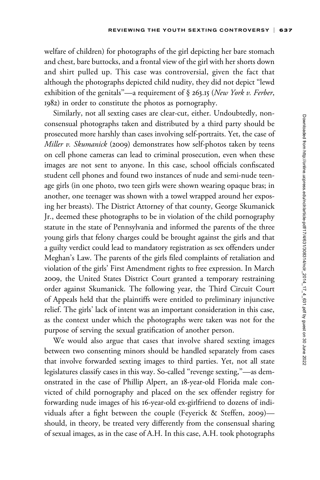welfare of children) for photographs of the girl depicting her bare stomach and chest, bare buttocks, and a frontal view of the girl with her shorts down and shirt pulled up. This case was controversial, given the fact that although the photographs depicted child nudity, they did not depict ''lewd exhibition of the genitals"—a requirement of  $\S$  263.15 (New York v. Ferber, 1982) in order to constitute the photos as pornography.

Similarly, not all sexting cases are clear-cut, either. Undoubtedly, nonconsensual photographs taken and distributed by a third party should be prosecuted more harshly than cases involving self-portraits. Yet, the case of Miller v. Skumanick (2009) demonstrates how self-photos taken by teens on cell phone cameras can lead to criminal prosecution, even when these images are not sent to anyone. In this case, school officials confiscated student cell phones and found two instances of nude and semi-nude teenage girls (in one photo, two teen girls were shown wearing opaque bras; in another, one teenager was shown with a towel wrapped around her exposing her breasts). The District Attorney of that county, George Skumanick Jr., deemed these photographs to be in violation of the child pornography statute in the state of Pennsylvania and informed the parents of the three young girls that felony charges could be brought against the girls and that a guilty verdict could lead to mandatory registration as sex offenders under Meghan's Law. The parents of the girls filed complaints of retaliation and violation of the girls' First Amendment rights to free expression. In March 2009, the United States District Court granted a temporary restraining order against Skumanick. The following year, the Third Circuit Court of Appeals held that the plaintiffs were entitled to preliminary injunctive relief. The girls' lack of intent was an important consideration in this case, as the context under which the photographs were taken was not for the purpose of serving the sexual gratification of another person.

We would also argue that cases that involve shared sexting images between two consenting minors should be handled separately from cases that involve forwarded sexting images to third parties. Yet, not all state legislatures classify cases in this way. So-called ''revenge sexting,''—as demonstrated in the case of Phillip Alpert, an 18-year-old Florida male convicted of child pornography and placed on the sex offender registry for forwarding nude images of his 16-year-old ex-girlfriend to dozens of individuals after a fight between the couple (Feyerick & Steffen, 2009) should, in theory, be treated very differently from the consensual sharing of sexual images, as in the case of A.H. In this case, A.H. took photographs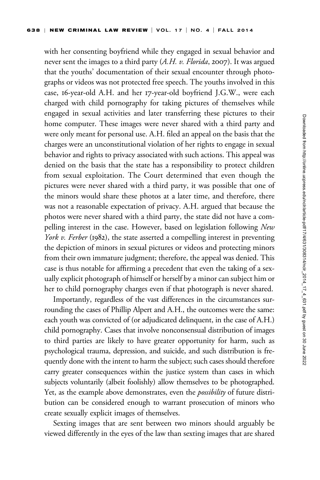with her consenting boyfriend while they engaged in sexual behavior and never sent the images to a third party (A.H. v. Florida, 2007). It was argued that the youths' documentation of their sexual encounter through photographs or videos was not protected free speech. The youths involved in this case, 16-year-old A.H. and her 17-year-old boyfriend J.G.W., were each charged with child pornography for taking pictures of themselves while engaged in sexual activities and later transferring these pictures to their home computer. These images were never shared with a third party and were only meant for personal use. A.H. filed an appeal on the basis that the charges were an unconstitutional violation of her rights to engage in sexual behavior and rights to privacy associated with such actions. This appeal was denied on the basis that the state has a responsibility to protect children from sexual exploitation. The Court determined that even though the pictures were never shared with a third party, it was possible that one of the minors would share these photos at a later time, and therefore, there was not a reasonable expectation of privacy. A.H. argued that because the photos were never shared with a third party, the state did not have a compelling interest in the case. However, based on legislation following New York v. Ferber (1982), the state asserted a compelling interest in preventing the depiction of minors in sexual pictures or videos and protecting minors from their own immature judgment; therefore, the appeal was denied. This case is thus notable for affirming a precedent that even the taking of a sexually explicit photograph of himself or herself by a minor can subject him or her to child pornography charges even if that photograph is never shared.

Importantly, regardless of the vast differences in the circumstances surrounding the cases of Phillip Alpert and A.H., the outcomes were the same: each youth was convicted of (or adjudicated delinquent, in the case of A.H.) child pornography. Cases that involve nonconsensual distribution of images to third parties are likely to have greater opportunity for harm, such as psychological trauma, depression, and suicide, and such distribution is frequently done with the intent to harm the subject; such cases should therefore carry greater consequences within the justice system than cases in which subjects voluntarily (albeit foolishly) allow themselves to be photographed. Yet, as the example above demonstrates, even the *possibility* of future distribution can be considered enough to warrant prosecution of minors who create sexually explicit images of themselves.

Sexting images that are sent between two minors should arguably be viewed differently in the eyes of the law than sexting images that are shared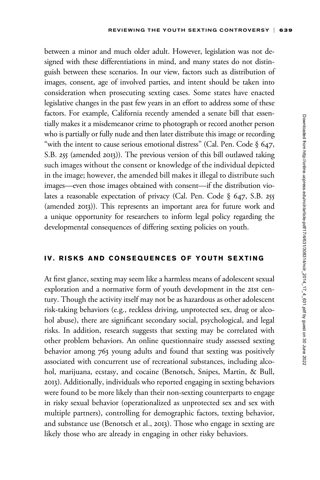between a minor and much older adult. However, legislation was not designed with these differentiations in mind, and many states do not distinguish between these scenarios. In our view, factors such as distribution of images, consent, age of involved parties, and intent should be taken into consideration when prosecuting sexting cases. Some states have enacted legislative changes in the past few years in an effort to address some of these factors. For example, California recently amended a senate bill that essentially makes it a misdemeanor crime to photograph or record another person who is partially or fully nude and then later distribute this image or recording "with the intent to cause serious emotional distress" (Cal. Pen. Code  $\S 647$ , S.B. 255 (amended 2013)). The previous version of this bill outlawed taking such images without the consent or knowledge of the individual depicted in the image; however, the amended bill makes it illegal to distribute such images—even those images obtained with consent—if the distribution violates a reasonable expectation of privacy (Cal. Pen. Code § 647, S.B. 255 (amended 2013)). This represents an important area for future work and a unique opportunity for researchers to inform legal policy regarding the developmental consequences of differing sexting policies on youth.

### IV. RISKS AND CONSEQUENCES OF YOUTH SEXTING

At first glance, sexting may seem like a harmless means of adolescent sexual exploration and a normative form of youth development in the 21st century. Though the activity itself may not be as hazardous as other adolescent risk-taking behaviors (e.g., reckless driving, unprotected sex, drug or alcohol abuse), there are significant secondary social, psychological, and legal risks. In addition, research suggests that sexting may be correlated with other problem behaviors. An online questionnaire study assessed sexting behavior among 763 young adults and found that sexting was positively associated with concurrent use of recreational substances, including alcohol, marijuana, ecstasy, and cocaine (Benotsch, Snipes, Martin, & Bull, 2013). Additionally, individuals who reported engaging in sexting behaviors were found to be more likely than their non-sexting counterparts to engage in risky sexual behavior (operationalized as unprotected sex and sex with multiple partners), controlling for demographic factors, texting behavior, and substance use (Benotsch et al., 2013). Those who engage in sexting are likely those who are already in engaging in other risky behaviors.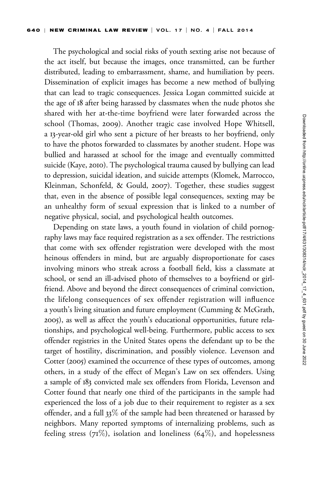The psychological and social risks of youth sexting arise not because of the act itself, but because the images, once transmitted, can be further distributed, leading to embarrassment, shame, and humiliation by peers. Dissemination of explicit images has become a new method of bullying that can lead to tragic consequences. Jessica Logan committed suicide at the age of 18 after being harassed by classmates when the nude photos she shared with her at-the-time boyfriend were later forwarded across the school (Thomas, 2009). Another tragic case involved Hope Whitsell, a 13-year-old girl who sent a picture of her breasts to her boyfriend, only to have the photos forwarded to classmates by another student. Hope was bullied and harassed at school for the image and eventually committed suicide (Kaye, 2010). The psychological trauma caused by bullying can lead to depression, suicidal ideation, and suicide attempts (Klomek, Marrocco, Kleinman, Schonfeld, & Gould, 2007). Together, these studies suggest that, even in the absence of possible legal consequences, sexting may be an unhealthy form of sexual expression that is linked to a number of negative physical, social, and psychological health outcomes.

Depending on state laws, a youth found in violation of child pornography laws may face required registration as a sex offender. The restrictions that come with sex offender registration were developed with the most heinous offenders in mind, but are arguably disproportionate for cases involving minors who streak across a football field, kiss a classmate at school, or send an ill-advised photo of themselves to a boyfriend or girlfriend. Above and beyond the direct consequences of criminal conviction, the lifelong consequences of sex offender registration will influence a youth's living situation and future employment (Cumming & McGrath, 2005), as well as affect the youth's educational opportunities, future relationships, and psychological well-being. Furthermore, public access to sex offender registries in the United States opens the defendant up to be the target of hostility, discrimination, and possibly violence. Levenson and Cotter (2005) examined the occurrence of these types of outcomes, among others, in a study of the effect of Megan's Law on sex offenders. Using a sample of 183 convicted male sex offenders from Florida, Levenson and Cotter found that nearly one third of the participants in the sample had experienced the loss of a job due to their requirement to register as a sex offender, and a full  $33\%$  of the sample had been threatened or harassed by neighbors. Many reported symptoms of internalizing problems, such as feeling stress ( $71\%$ ), isolation and loneliness (64%), and hopelessness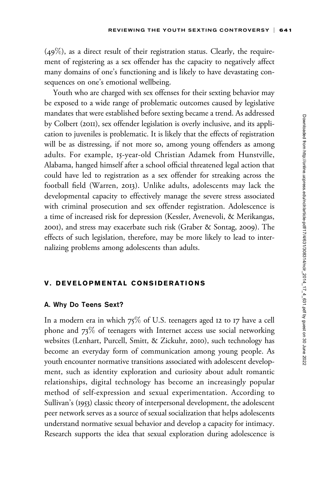$(49\%)$ , as a direct result of their registration status. Clearly, the requirement of registering as a sex offender has the capacity to negatively affect many domains of one's functioning and is likely to have devastating consequences on one's emotional wellbeing.

Youth who are charged with sex offenses for their sexting behavior may be exposed to a wide range of problematic outcomes caused by legislative mandates that were established before sexting became a trend. As addressed by Colbert (2011), sex offender legislation is overly inclusive, and its application to juveniles is problematic. It is likely that the effects of registration will be as distressing, if not more so, among young offenders as among adults. For example, 15-year-old Christian Adamek from Hunstville, Alabama, hanged himself after a school official threatened legal action that could have led to registration as a sex offender for streaking across the football field (Warren, 2013). Unlike adults, adolescents may lack the developmental capacity to effectively manage the severe stress associated with criminal prosecution and sex offender registration. Adolescence is a time of increased risk for depression (Kessler, Avenevoli, & Merikangas, 2001), and stress may exacerbate such risk (Graber & Sontag, 2009). The effects of such legislation, therefore, may be more likely to lead to internalizing problems among adolescents than adults.

#### V. DEVELOPMENTAL CONSIDERATIONS

#### A. Why Do Teens Sext?

In a modern era in which 75% of U.S. teenagers aged 12 to 17 have a cell phone and 73% of teenagers with Internet access use social networking websites (Lenhart, Purcell, Smitt, & Zickuhr, 2010), such technology has become an everyday form of communication among young people. As youth encounter normative transitions associated with adolescent development, such as identity exploration and curiosity about adult romantic relationships, digital technology has become an increasingly popular method of self-expression and sexual experimentation. According to Sullivan's (1953) classic theory of interpersonal development, the adolescent peer network serves as a source of sexual socialization that helps adolescents understand normative sexual behavior and develop a capacity for intimacy. Research supports the idea that sexual exploration during adolescence is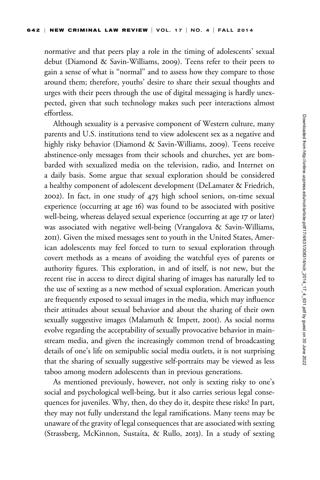normative and that peers play a role in the timing of adolescents' sexual debut (Diamond & Savin-Williams, 2009). Teens refer to their peers to gain a sense of what is ''normal'' and to assess how they compare to those around them; therefore, youths' desire to share their sexual thoughts and urges with their peers through the use of digital messaging is hardly unexpected, given that such technology makes such peer interactions almost effortless.

Although sexuality is a pervasive component of Western culture, many parents and U.S. institutions tend to view adolescent sex as a negative and highly risky behavior (Diamond & Savin-Williams, 2009). Teens receive abstinence-only messages from their schools and churches, yet are bombarded with sexualized media on the television, radio, and Internet on a daily basis. Some argue that sexual exploration should be considered a healthy component of adolescent development (DeLamater & Friedrich, 2002). In fact, in one study of 475 high school seniors, on-time sexual experience (occurring at age 16) was found to be associated with positive well-being, whereas delayed sexual experience (occurring at age 17 or later) was associated with negative well-being (Vrangalova & Savin-Williams, 2011). Given the mixed messages sent to youth in the United States, American adolescents may feel forced to turn to sexual exploration through covert methods as a means of avoiding the watchful eyes of parents or authority figures. This exploration, in and of itself, is not new, but the recent rise in access to direct digital sharing of images has naturally led to the use of sexting as a new method of sexual exploration. American youth are frequently exposed to sexual images in the media, which may influence their attitudes about sexual behavior and about the sharing of their own sexually suggestive images (Malamuth & Impett, 2001). As social norms evolve regarding the acceptability of sexually provocative behavior in mainstream media, and given the increasingly common trend of broadcasting details of one's life on semipublic social media outlets, it is not surprising that the sharing of sexually suggestive self-portraits may be viewed as less taboo among modern adolescents than in previous generations.

As mentioned previously, however, not only is sexting risky to one's social and psychological well-being, but it also carries serious legal consequences for juveniles. Why, then, do they do it, despite these risks? In part, they may not fully understand the legal ramifications. Many teens may be unaware of the gravity of legal consequences that are associated with sexting (Strassberg, McKinnon, Sustaíta, & Rullo, 2013). In a study of sexting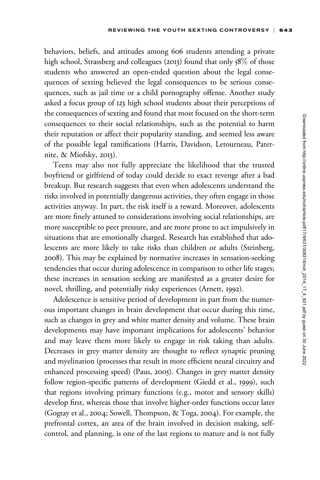behaviors, beliefs, and attitudes among 606 students attending a private high school, Strassberg and colleagues (2013) found that only 58% of those students who answered an open-ended question about the legal consequences of sexting believed the legal consequences to be serious consequences, such as jail time or a child pornography offense. Another study asked a focus group of 123 high school students about their perceptions of the consequences of sexting and found that most focused on the short-term consequences to their social relationships, such as the potential to harm their reputation or affect their popularity standing, and seemed less aware of the possible legal ramifications (Harris, Davidson, Letourneau, Paternite, & Miofsky, 2013).

Teens may also not fully appreciate the likelihood that the trusted boyfriend or girlfriend of today could decide to exact revenge after a bad breakup. But research suggests that even when adolescents understand the risks involved in potentially dangerous activities, they often engage in those activities anyway. In part, the risk itself is a reward. Moreover, adolescents are more finely attuned to considerations involving social relationships, are more susceptible to peer pressure, and are more prone to act impulsively in situations that are emotionally charged. Research has established that adolescents are more likely to take risks than children or adults (Steinberg, 2008). This may be explained by normative increases in sensation-seeking tendencies that occur during adolescence in comparison to other life stages; these increases in sensation seeking are manifested as a greater desire for novel, thrilling, and potentially risky experiences (Arnett, 1992).

Adolescence is sensitive period of development in part from the numerous important changes in brain development that occur during this time, such as changes in grey and white matter density and volume. These brain developments may have important implications for adolescents' behavior and may leave them more likely to engage in risk taking than adults. Decreases in grey matter density are thought to reflect synaptic pruning and myelination (processes that result in more efficient neural circuitry and enhanced processing speed) (Paus, 2005). Changes in grey matter density follow region-specific patterns of development (Giedd et al., 1999), such that regions involving primary functions (e.g., motor and sensory skills) develop first, whereas those that involve higher-order functions occur later (Gogtay et al., 2004; Sowell, Thompson, & Toga, 2004). For example, the prefrontal cortex, an area of the brain involved in decision making, selfcontrol, and planning, is one of the last regions to mature and is not fully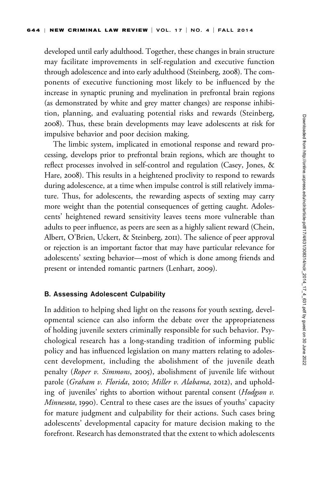developed until early adulthood. Together, these changes in brain structure may facilitate improvements in self-regulation and executive function through adolescence and into early adulthood (Steinberg, 2008). The components of executive functioning most likely to be influenced by the increase in synaptic pruning and myelination in prefrontal brain regions (as demonstrated by white and grey matter changes) are response inhibition, planning, and evaluating potential risks and rewards (Steinberg, 2008). Thus, these brain developments may leave adolescents at risk for impulsive behavior and poor decision making.

The limbic system, implicated in emotional response and reward processing, develops prior to prefrontal brain regions, which are thought to reflect processes involved in self-control and regulation (Casey, Jones, & Hare, 2008). This results in a heightened proclivity to respond to rewards during adolescence, at a time when impulse control is still relatively immature. Thus, for adolescents, the rewarding aspects of sexting may carry more weight than the potential consequences of getting caught. Adolescents' heightened reward sensitivity leaves teens more vulnerable than adults to peer influence, as peers are seen as a highly salient reward (Chein, Albert, O'Brien, Uckert, & Steinberg, 2011). The salience of peer approval or rejection is an important factor that may have particular relevance for adolescents' sexting behavior—most of which is done among friends and present or intended romantic partners (Lenhart, 2009).

#### B. Assessing Adolescent Culpability

In addition to helping shed light on the reasons for youth sexting, developmental science can also inform the debate over the appropriateness of holding juvenile sexters criminally responsible for such behavior. Psychological research has a long-standing tradition of informing public policy and has influenced legislation on many matters relating to adolescent development, including the abolishment of the juvenile death penalty (Roper v. Simmons, 2005), abolishment of juvenile life without parole (Graham v. Florida, 2010; Miller v. Alabama, 2012), and upholding of juveniles' rights to abortion without parental consent (*Hodgson v*. *Minnesota*, 1990). Central to these cases are the issues of youths' capacity for mature judgment and culpability for their actions. Such cases bring adolescents' developmental capacity for mature decision making to the forefront. Research has demonstrated that the extent to which adolescents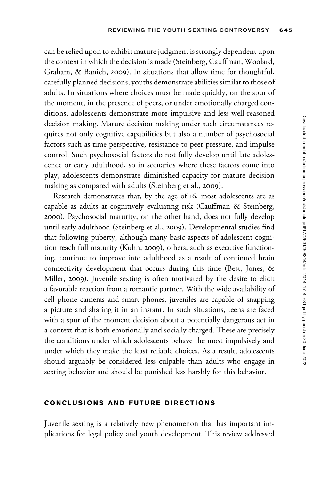can be relied upon to exhibit mature judgment is strongly dependent upon the context in which the decision is made (Steinberg, Cauffman, Woolard, Graham, & Banich, 2009). In situations that allow time for thoughtful, carefully planned decisions, youths demonstrate abilities similar to those of adults. In situations where choices must be made quickly, on the spur of the moment, in the presence of peers, or under emotionally charged conditions, adolescents demonstrate more impulsive and less well-reasoned decision making. Mature decision making under such circumstances requires not only cognitive capabilities but also a number of psychosocial factors such as time perspective, resistance to peer pressure, and impulse control. Such psychosocial factors do not fully develop until late adolescence or early adulthood, so in scenarios where these factors come into play, adolescents demonstrate diminished capacity for mature decision making as compared with adults (Steinberg et al., 2009).

Research demonstrates that, by the age of 16, most adolescents are as capable as adults at cognitively evaluating risk (Cauffman & Steinberg, 2000). Psychosocial maturity, on the other hand, does not fully develop until early adulthood (Steinberg et al., 2009). Developmental studies find that following puberty, although many basic aspects of adolescent cognition reach full maturity (Kuhn, 2009), others, such as executive functioning, continue to improve into adulthood as a result of continued brain connectivity development that occurs during this time (Best, Jones, & Miller, 2009). Juvenile sexting is often motivated by the desire to elicit a favorable reaction from a romantic partner. With the wide availability of cell phone cameras and smart phones, juveniles are capable of snapping a picture and sharing it in an instant. In such situations, teens are faced with a spur of the moment decision about a potentially dangerous act in a context that is both emotionally and socially charged. These are precisely the conditions under which adolescents behave the most impulsively and under which they make the least reliable choices. As a result, adolescents should arguably be considered less culpable than adults who engage in sexting behavior and should be punished less harshly for this behavior.

## CONCLUSIONS AND FUTURE DIRECTIONS

Juvenile sexting is a relatively new phenomenon that has important implications for legal policy and youth development. This review addressed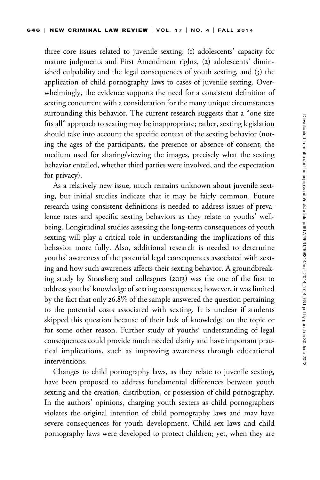three core issues related to juvenile sexting: (1) adolescents' capacity for mature judgments and First Amendment rights, (2) adolescents' diminished culpability and the legal consequences of youth sexting, and (3) the application of child pornography laws to cases of juvenile sexting. Overwhelmingly, the evidence supports the need for a consistent definition of sexting concurrent with a consideration for the many unique circumstances surrounding this behavior. The current research suggests that a "one size fits all'' approach to sexting may be inappropriate; rather, sexting legislation should take into account the specific context of the sexting behavior (noting the ages of the participants, the presence or absence of consent, the medium used for sharing/viewing the images, precisely what the sexting behavior entailed, whether third parties were involved, and the expectation for privacy).

As a relatively new issue, much remains unknown about juvenile sexting, but initial studies indicate that it may be fairly common. Future research using consistent definitions is needed to address issues of prevalence rates and specific sexting behaviors as they relate to youths' wellbeing. Longitudinal studies assessing the long-term consequences of youth sexting will play a critical role in understanding the implications of this behavior more fully. Also, additional research is needed to determine youths' awareness of the potential legal consequences associated with sexting and how such awareness affects their sexting behavior. A groundbreaking study by Strassberg and colleagues (2013) was the one of the first to address youths' knowledge of sexting consequences; however, it was limited by the fact that only 26.8% of the sample answered the question pertaining to the potential costs associated with sexting. It is unclear if students skipped this question because of their lack of knowledge on the topic or for some other reason. Further study of youths' understanding of legal consequences could provide much needed clarity and have important practical implications, such as improving awareness through educational interventions.

Changes to child pornography laws, as they relate to juvenile sexting, have been proposed to address fundamental differences between youth sexting and the creation, distribution, or possession of child pornography. In the authors' opinions, charging youth sexters as child pornographers violates the original intention of child pornography laws and may have severe consequences for youth development. Child sex laws and child pornography laws were developed to protect children; yet, when they are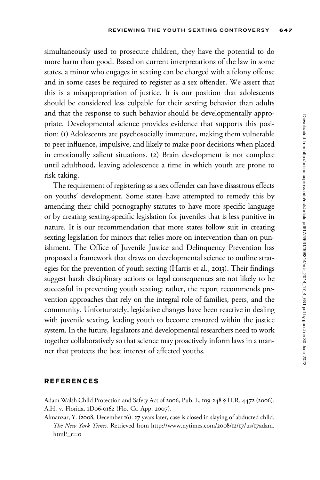simultaneously used to prosecute children, they have the potential to do more harm than good. Based on current interpretations of the law in some states, a minor who engages in sexting can be charged with a felony offense and in some cases be required to register as a sex offender. We assert that this is a misappropriation of justice. It is our position that adolescents should be considered less culpable for their sexting behavior than adults and that the response to such behavior should be developmentally appropriate. Developmental science provides evidence that supports this position: (1) Adolescents are psychosocially immature, making them vulnerable to peer influence, impulsive, and likely to make poor decisions when placed in emotionally salient situations. (2) Brain development is not complete until adulthood, leaving adolescence a time in which youth are prone to risk taking.

The requirement of registering as a sex offender can have disastrous effects on youths' development. Some states have attempted to remedy this by amending their child pornography statutes to have more specific language or by creating sexting-specific legislation for juveniles that is less punitive in nature. It is our recommendation that more states follow suit in creating sexting legislation for minors that relies more on intervention than on punishment. The Office of Juvenile Justice and Delinquency Prevention has proposed a framework that draws on developmental science to outline strategies for the prevention of youth sexting (Harris et al., 2013). Their findings suggest harsh disciplinary actions or legal consequences are not likely to be successful in preventing youth sexting; rather, the report recommends prevention approaches that rely on the integral role of families, peers, and the community. Unfortunately, legislative changes have been reactive in dealing with juvenile sexting, leading youth to become ensnared within the justice system. In the future, legislators and developmental researchers need to work together collaboratively so that science may proactively inform laws in a manner that protects the best interest of affected youths.

#### REFERENCES

Adam Walsh Child Protection and Safety Act of 2006, Pub. L. 109-248 § H.R. 4472 (2006). A.H. v. Florida, 1D06-0162 (Flo. Ct. App. 2007).

Almanzar, Y. (2008, December 16). 27 years later, case is closed in slaying of abducted child. The New York Times. Retrieved from [http://www.nytimes.com/](http://www.nytimes.com/2008/12/17/us/17adam.html?_r=0)2008/12/17/us/17adam. html?  $r=0$  $r=0$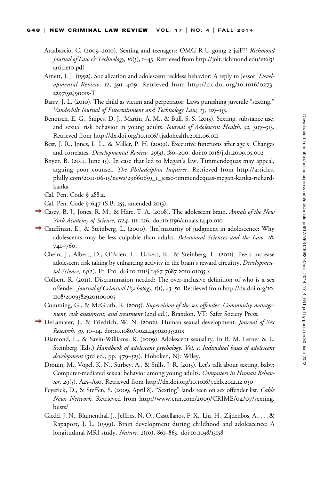- Arcabascio, C. (2009–2010). Sexting and teenagers: OMG R U going 2 jail??? Richmond Journal of Law & Technology, 16(3), 1-43. Retrieved from [http://jolt.richmond.edu/v](http://jolt.richmond.edu/v16i3/article10.pdf)16i3/ [article](http://jolt.richmond.edu/v16i3/article10.pdf)10.pdf
- Arnett, J. J. (1992). Socialization and adolescent reckless behavior: A reply to Jessor. Developmental Review, 12, 391–409. Retrieved from [http://dx.doi.org/](http://dx.doi.org/10.1016/0273-2297(92)90015-T)10.1016/0273- 2297(92)[90015](http://dx.doi.org/10.1016/0273-2297(92)90015-T)-T
- Barry, J. L. (2010). The child as victim and perpetrator: Laws punishing juvenile "sexting." Vanderbilt Journal of Entertainment and Technology Law, 13, 129–153.
- Benotsch, E. G., Snipes, D. J., Martin, A. M., & Bull, S. S. (2013). Sexting, substance use, and sexual risk behavior in young adults. Journal of Adolescent Health, 52, 307-313. Retrieved from [http://dx.doi.org/](http://dx.doi.org/10.1016/j.jadohealth.2012.06.011)10.1016/j.jadohealth.2012.06.011
- Best, J. R., Jones, L. L., & Miller, P. H. (2009). Executive functions after age 5: Changes and correlates. *Developmental Review*, 29(3), 180-200. doi:10.1016/j.dr.2009.05.002
- Boyer, B. (2011, June 15). In case that led to Megan's law, Timmendequas may appeal, arguing poor counsel. The Philadelphia Inquirer. Retrieved from [http://articles.](http://articles.philly.com/2011-06-15/news/29660659_1_jesse-timmendequas-megan-kanka-richard-kanka) philly.com/2011-06-15/news/29660659\_1[\\_jesse-timmendequas-megan-kanka-richard](http://articles.philly.com/2011-06-15/news/29660659_1_jesse-timmendequas-megan-kanka-richard-kanka)[kanka](http://articles.philly.com/2011-06-15/news/29660659_1_jesse-timmendequas-megan-kanka-richard-kanka)
- Cal. Pen. Code § 288.2.
- Cal. Pen. Code § 647 (S.B. 255, amended 2013).
- Gasey, B. J., Jones, R. M., & Hare, T. A. (2008). The adolescent brain. Annals of the New York Academy of Science, 1124, 111–126. doi:10.1196/annals.1440.010
- Cauffman, E., & Steinberg, L. (2000). (Im)maturity of judgment in adolescence: Why adolescents may be less culpable than adults. Behavioral Sciences and the Law, 18, 741–760.
	- Chein, J., Albert, D., O'Brien, L., Uckert, K., & Steinberg, L. (2011). Peers increase adolescent risk taking by enhancing activity in the brain's reward circuitry, Developmental Science, 14(2), F1–F10. doi:10.1111/j.1467-7687.2010.01035.x
	- Colbert, R. (2011). Discrimination needed: The over-inclusive definition of who is a sex offender. Journal of Criminal Psychology, 1(1), 43–50. Retrieved from [http://dx.doi.org/](http://dx.doi.org/10.1108/20093829201100005)10. 1108/[20093829201100005](http://dx.doi.org/10.1108/20093829201100005)
	- Cumming, G., & McGrath, R. (2005). Supervision of the sex offender: Community management, risk assessment, and treatment (2nd ed.). Brandon, VT: Safer Society Press.
- DeLamater, J., & Friedrich, W. N. (2002). Human sexual development. Journal of Sex Research, 39, 10–14. doi:10.1080/00224490209552113
	- Diamond, L., & Savin-Williams, R. (2009). Adolescent sexuality. In R. M. Lerner & L. Steinberg (Eds.) Handbook of adolescent psychology, Vol. 1: Individual bases of adolescent development (3rd ed., pp. 479–523). Hoboken, NJ: Wiley.
	- Drouin, M., Vogel, K. N., Surbey, A., & Stills, J. R. (2013). Let's talk about sexting, baby: Computer-mediated sexual behavior among young adults. Computers in Human Behavior, 29(5), A25-A30. Retrieved from [http://dx.doi.org/](http://dx.doi.org/10.1016/j.chb.2012.12.030)10.1016/j.chb.2012.12.030
	- Feyerick, D., & Steffen, S. (2009, April 8). ''Sexting'' lands teen on sex offender list. Cable News Network. Retrieved from [http://www.cnn.com/](http://www.cnn.com/2009/CRIME/04/07/sexting.busts/)2009/CRIME/04/07/sexting. [busts/](http://www.cnn.com/2009/CRIME/04/07/sexting.busts/)
	- Giedd, J. N., Blumenthal, J., Jeffries, N. O., Castellanos, F. X., Liu, H., Zijdenbos, A., ... & Rapaport, J. L. (1999). Brain development during childhood and adolescence: A longitudinal MRI study. Nature, 2(10), 861–863. doi:10.1038/13158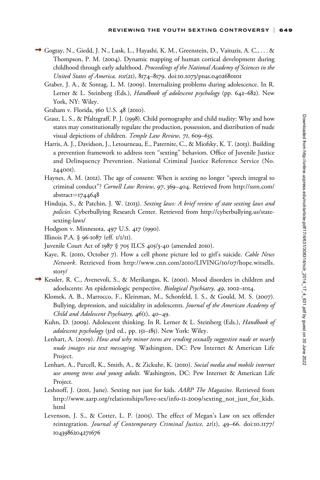- Gogtay, N., Giedd, J. N., Lusk, L., Hayashi, K. M., Greenstein, D., Vaituzis, A. C., ... & Thompson, P. M. (2004). Dynamic mapping of human cortical development during childhood through early adulthood. Proceedings of the National Academy of Sciences in the United States of America, 101(21), 8174–8179. doi:10.1073/pnas.0402680101
	- Graber, J. A., & Sontag, L. M. (2009). Internalizing problems during adolescence. In R. Lerner & L. Steinberg (Eds.), Handbook of adolescent psychology (pp. 642–682). New York, NY: Wiley.
	- Graham v. Florida, 560 U.S. 48 (2010).
	- Grasz, L. S., & Pfaltzgraff, P. J. (1998). Child pornography and child nudity: Why and how states may constitutionally regulate the production, possession, and distribution of nude visual depictions of children. Temple Law Review, 71, 609–635.
	- Harris, A. J., Davidson, J., Letourneau, E., Paternite, C., & Miofsky, K. T. (2013). Building a prevention framework to address teen ''sexting'' behaviors. Office of Juvenile Justice and Delinquency Prevention. National Criminal Justice Reference Service (No. 244001).
	- Haynes, A. M. (2012). The age of consent: When is sexting no longer ''speech integral to criminal conduct''? Cornell Law Review, 97, 369–404. Retrieved from [http://ssrn.com/](http://ssrn.com/abstract=1744648) [abstract](http://ssrn.com/abstract=1744648) $=$ [1744648](http://ssrn.com/abstract=1744648)
	- Hinduja, S., & Patchin, J. W. (2013). Sexting laws: A brief review of state sexting laws and policies. Cyberbullying Research Center. Retrieved from [http://cyberbullying.us/state](http://cyberbullying.us/state-sexting-laws/)[sexting-laws/](http://cyberbullying.us/state-sexting-laws/)
	- Hodgson v. Minnesota, 497 U.S. 417 (1990).
	- Illinois P.A. § 96-1087 (eff. 1/1/11).
	- Juvenile Court Act of 1987 § 705 ILCS 405/3-40 (amended 2010).
	- Kaye, R. (2010, October 7). How a cell phone picture led to girl's suicide. Cable News Network. Retrieved from [http://www.cnn.com/](http://www.cnn.com/2010/LIVING/10/07/hope.witsells.story/)2010/LIVING/10/07/hope.witsells. [story/](http://www.cnn.com/2010/LIVING/10/07/hope.witsells.story/)
- $\rightarrow$  Kessler, R. C., Avenevoli, S., & Merikangas, K. (2001). Mood disorders in children and adoelscents: An epidemiologic perspective. Biological Psychiatry, 49, 1002-1014.
	- Klomek, A. B., Marrocco, F., Kleinman, M., Schonfeld, I. S., & Gould, M. S. (2007). Bullying, depression, and suicidality in adolescents. Journal of the American Academy of Child and Adolescent Psychiatry,  $46(i)$ ,  $40-49$ .
	- Kuhn, D. (2009). Adolescent thinking. In R. Lerner & L. Steinberg (Eds.), Handbook of adolescent psychology (3rd ed., pp. 151-185). New York: Wiley.
	- Lenhart, A. (2009). How and why minor teens are sending sexually suggestive nude or nearly nude images via text messaging. Washington, DC: Pew Internet & American Life Project.
	- Lenhart, A., Purcell, K., Smith, A., & Zickuhr, K. (2010). Social media and mobile internet use among teens and young adults. Washington, DC: Pew Internet & American Life Project.
	- Leshnoff, J. (2011, June). Sexting not just for kids. AARP The Magazine. Retrieved from [http://www.aarp.org/relationships/love-sex/info-](http://www.aarp.org/relationships/love-sex/info-11-2009/sexting_not_just_for_kids.html)11-2009/sexting\_not\_just\_for\_kids. [html](http://www.aarp.org/relationships/love-sex/info-11-2009/sexting_not_just_for_kids.html)
	- Levenson, J. S., & Cotter, L. P. (2005). The effect of Megan's Law on sex offender reintegration. *Journal of Contemporary Criminal Justice*,  $2I(1)$ ,  $49-66$ . doi:10.1177/ 1043986204271676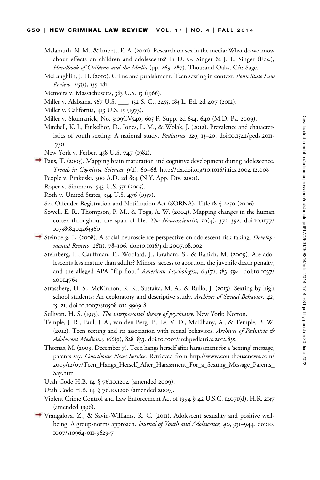- Malamuth, N. M., & Impett, E. A. (2001). Research on sex in the media: What do we know about effects on children and adolescents? In D. G. Singer & J. L. Singer (Eds.), Handbook of Children and the Media (pp. 269-287). Thousand Oaks, CA: Sage.
- McLaughlin, J. H. (2010). Crime and punishment: Teen sexting in context. Penn State Law  $Review, II5(1), I35-181.$
- Memoirs v. Massachusetts, 383 U.S. 13 (1966).
- Miller v. Alabama, 567 U.S. \_\_\_, 132 S. Ct. 2455, 183 L. Ed. 2d 407 (2012).
- Miller v. California, 413 U.S. 15 (1973).
- Miller v. Skumanick, No. 3:09CV540, 605 F. Supp. 2d 634, 640 (M.D. Pa. 2009).
- Mitchell, K. J., Finkelhor, D., Jones, L. M., & Wolak, J. (2012). Prevalence and characteristics of youth sexting: A national study. *Pediatrics*, 129, 13–20. doi:10.1542/peds.2011-1730
- New York v. Ferber, 458 U.S. 747 (1982).
- $\rightarrow$  Paus, T. (2005). Mapping brain maturation and cognitive development during adolescence. Trends in Cognitive Sciences, 9(2), 60–68. http://dx.doi.org/10.1016/j.tics.2004.12.008 People v. Pinkoski, 300 A.D. 2d 834 (N.Y. App. Div. 2001).
	- Roper v. Simmons, 543 U.S. 551 (2005).
	- Roth v. United States, 354 U.S. 476 (1957).
	- Sex Offender Registration and Notification Act (SORNA), Title 18 § 2250 (2006).
	- Sowell, E. R., Thompson, P. M., & Toga, A. W. (2004). Mapping changes in the human cortex throughout the span of life. The Neuroscientist,  $I O(4)$ , 372-392. doi:10.1177/ 1073858404263960
- Steinberg, L. (2008). A social neuroscience perspective on adolescent risk-taking. *Develop*mental Review, 28(1), 78–106. doi:10.1016/j.dr.2007.08.002
	- Steinberg, L., Cauffman, E., Woolard, J., Graham, S., & Banich, M. (2009). Are adolescents less mature than adults? Minors' access to abortion, the juvenile death penalty, and the alleged APA "flip-flop." American Psychologist,  $64(7)$ ,  $583-594$ . doi:10.1037/ a0014763
	- Strassberg, D. S., McKinnon, R. K., Sustaíta, M. A., & Rullo, J. (2013). Sexting by high school students: An exploratory and descriptive study. Archives of Sexual Behavior, 42, 15–21. doi:10.1007/s10508-012-9969-8
	- Sullivan, H. S. (1953). The interpersonal theory of psychiatry. New York: Norton.
	- Temple, J. R., Paul, J. A., van den Berg, P., Le, V. D., McElhany, A., & Temple, B. W. (2012). Teen sexting and its association with sexual behaviors. Archives of Pediatric  $\mathcal{O}$ Adolescent Medicine, 166(9), 828-833. doi:10.1001/archpediatrics.2012.835.
	- Thomas, M. (2009, December 7). Teen hangs herself after harassment for a 'sexting' message, parents say. Courthouse News Service. Retrieved from [http://www.courthousenews.com/](http://www.courthousenews.com/2009/12/07/Teen_Hangs_Herself_After_Harassment_For_a_Sexting_Message_Parents_Say.htm) 2009/12/07[/Teen\\_Hangs\\_Herself\\_After\\_Harassment\\_For\\_a\\_Sexting\\_Message\\_Parents\\_](http://www.courthousenews.com/2009/12/07/Teen_Hangs_Herself_After_Harassment_For_a_Sexting_Message_Parents_Say.htm) [Say.htm](http://www.courthousenews.com/2009/12/07/Teen_Hangs_Herself_After_Harassment_For_a_Sexting_Message_Parents_Say.htm)
	- Utah Code H.B. 14 § 76.10.1204 (amended 2009).
	- Utah Code H.B. 14 § 76.10.1206 (amended 2009).
	- Violent Crime Control and Law Enforcement Act of 1994 § 42 U.S.C. 14071(d), H.R. 2137 (amended 1996).
- $\rightarrow$  Vrangalova, Z., & Savin-Williams, R. C. (2011). Adolescent sexuality and positive wellbeing: A group-norms approach. *Journal of Youth and Adolescence*, 40, 931–944. doi:10. 1007/s10964-011-9629-7